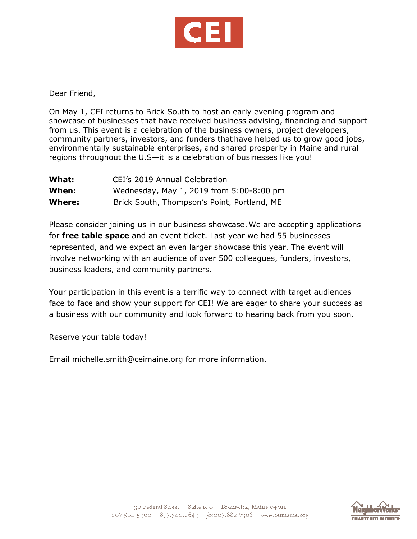

Dear Friend,

On May 1, CEI returns to Brick South to host an early evening program and showcase of businesses that have received business advising, financing and support from us. This event is a celebration of the business owners, project developers, community partners, investors, and funders that have helped us to grow good jobs, environmentally sustainable enterprises, and shared prosperity in Maine and rural regions throughout the U.S—it is a celebration of businesses like you!

| What:  | CEI's 2019 Annual Celebration               |
|--------|---------------------------------------------|
| When:  | Wednesday, May 1, 2019 from 5:00-8:00 pm    |
| Where: | Brick South, Thompson's Point, Portland, ME |

Please consider joining us in our business showcase. We are accepting applications for **free table space** and an event ticket. Last year we had 55 businesses represented, and we expect an even larger showcase this year. The event will involve networking with an audience of over 500 colleagues, funders, investors, business leaders, and community partners.

Your participation in this event is a terrific way to connect with target audiences face to face and show your support for CEI! We are eager to share your success as a business with our community and look forward to hearing back from you soon.

Reserve your table today!

Email [michelle.smith@ceimaine.org](mailto:michelle.smith@ceimaine.org) for more information.